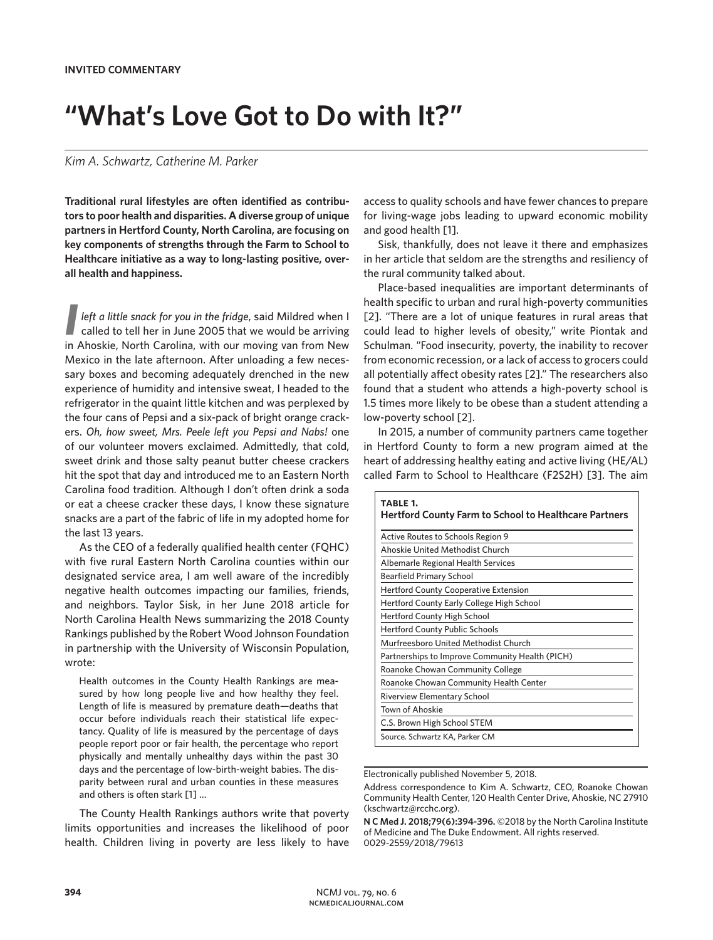## **"What's Love Got to Do with It?"**

## *Kim A. Schwartz, Catherine M. Parker*

**Traditional rural lifestyles are often identified as contributors to poor health and disparities. A diverse group of unique partners in Hertford County, North Carolina, are focusing on key components of strengths through the Farm to School to Healthcare initiative as a way to long-lasting positive, overall health and happiness.**

*I* left a little snack for you in the fridge, said Mildred when I called to tell her in June 2005 that we would be arriving in Ahoskie, North Carolina, with our moving van from New Mexico in the late afternoon. After unloading a few necessary boxes and becoming adequately drenched in the new experience of humidity and intensive sweat, I headed to the refrigerator in the quaint little kitchen and was perplexed by the four cans of Pepsi and a six-pack of bright orange crackers. *Oh, how sweet, Mrs. Peele left you Pepsi and Nabs!* one of our volunteer movers exclaimed. Admittedly, that cold, sweet drink and those salty peanut butter cheese crackers hit the spot that day and introduced me to an Eastern North Carolina food tradition. Although I don't often drink a soda or eat a cheese cracker these days, I know these signature snacks are a part of the fabric of life in my adopted home for the last 13 years.

As the CEO of a federally qualified health center (FQHC) with five rural Eastern North Carolina counties within our designated service area, I am well aware of the incredibly negative health outcomes impacting our families, friends, and neighbors. Taylor Sisk, in her June 2018 article for North Carolina Health News summarizing the 2018 County Rankings published by the Robert Wood Johnson Foundation in partnership with the University of Wisconsin Population, wrote:

Health outcomes in the County Health Rankings are measured by how long people live and how healthy they feel. Length of life is measured by premature death—deaths that occur before individuals reach their statistical life expectancy. Quality of life is measured by the percentage of days people report poor or fair health, the percentage who report physically and mentally unhealthy days within the past 30 days and the percentage of low-birth-weight babies. The disparity between rural and urban counties in these measures and others is often stark [1] …

The County Health Rankings authors write that poverty limits opportunities and increases the likelihood of poor health. Children living in poverty are less likely to have access to quality schools and have fewer chances to prepare for living-wage jobs leading to upward economic mobility and good health [1].

Sisk, thankfully, does not leave it there and emphasizes in her article that seldom are the strengths and resiliency of the rural community talked about.

Place-based inequalities are important determinants of health specific to urban and rural high-poverty communities [2]. "There are a lot of unique features in rural areas that could lead to higher levels of obesity," write Piontak and Schulman. "Food insecurity, poverty, the inability to recover from economic recession, or a lack of access to grocers could all potentially affect obesity rates [2]." The researchers also found that a student who attends a high-poverty school is 1.5 times more likely to be obese than a student attending a low-poverty school [2].

In 2015, a number of community partners came together in Hertford County to form a new program aimed at the heart of addressing healthy eating and active living (HE/AL) called Farm to School to Healthcare (F2S2H) [3]. The aim

| TABLE 1.<br>Hertford County Farm to School to Healthcare Partners |
|-------------------------------------------------------------------|
| Active Routes to Schools Region 9                                 |
| Ahoskie United Methodist Church                                   |
| Albemarle Regional Health Services                                |
| <b>Bearfield Primary School</b>                                   |
| <b>Hertford County Cooperative Extension</b>                      |
| Hertford County Early College High School                         |
| <b>Hertford County High School</b>                                |
| <b>Hertford County Public Schools</b>                             |
| Murfreesboro United Methodist Church                              |
| Partnerships to Improve Community Health (PICH)                   |
| Roanoke Chowan Community College                                  |
| Roanoke Chowan Community Health Center                            |
| <b>Riverview Elementary School</b>                                |
| Town of Ahoskie                                                   |
| C.S. Brown High School STEM                                       |
| Source. Schwartz KA, Parker CM                                    |

Electronically published November 5, 2018.

Address correspondence to Kim A. Schwartz, CEO, Roanoke Chowan Community Health Center, 120 Health Center Drive, Ahoskie, NC 27910 (kschwartz@rcchc.org).

**N C Med J. 2018;79(6):394-396.** ©2018 by the North Carolina Institute of Medicine and The Duke Endowment. All rights reserved. 0029-2559/2018/79613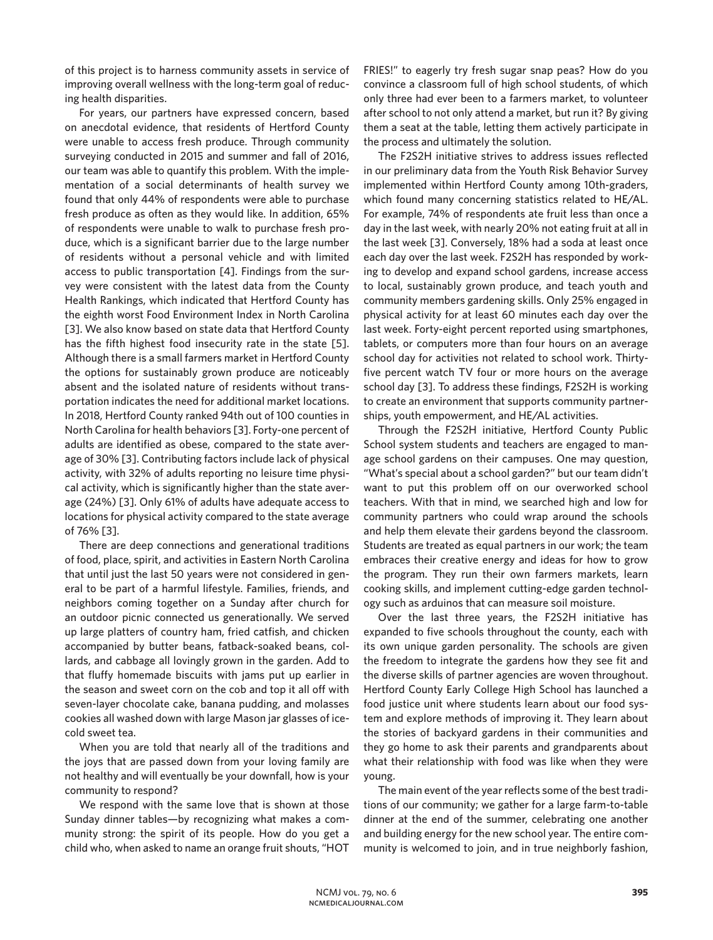of this project is to harness community assets in service of improving overall wellness with the long-term goal of reducing health disparities.

For years, our partners have expressed concern, based on anecdotal evidence, that residents of Hertford County were unable to access fresh produce. Through community surveying conducted in 2015 and summer and fall of 2016, our team was able to quantify this problem. With the implementation of a social determinants of health survey we found that only 44% of respondents were able to purchase fresh produce as often as they would like. In addition, 65% of respondents were unable to walk to purchase fresh produce, which is a significant barrier due to the large number of residents without a personal vehicle and with limited access to public transportation [4]. Findings from the survey were consistent with the latest data from the County Health Rankings, which indicated that Hertford County has the eighth worst Food Environment Index in North Carolina [3]. We also know based on state data that Hertford County has the fifth highest food insecurity rate in the state [5]. Although there is a small farmers market in Hertford County the options for sustainably grown produce are noticeably absent and the isolated nature of residents without transportation indicates the need for additional market locations. In 2018, Hertford County ranked 94th out of 100 counties in North Carolina for health behaviors [3]. Forty-one percent of adults are identified as obese, compared to the state average of 30% [3]. Contributing factors include lack of physical activity, with 32% of adults reporting no leisure time physical activity, which is significantly higher than the state average (24%) [3]. Only 61% of adults have adequate access to locations for physical activity compared to the state average of 76% [3].

There are deep connections and generational traditions of food, place, spirit, and activities in Eastern North Carolina that until just the last 50 years were not considered in general to be part of a harmful lifestyle. Families, friends, and neighbors coming together on a Sunday after church for an outdoor picnic connected us generationally. We served up large platters of country ham, fried catfish, and chicken accompanied by butter beans, fatback-soaked beans, collards, and cabbage all lovingly grown in the garden. Add to that fluffy homemade biscuits with jams put up earlier in the season and sweet corn on the cob and top it all off with seven-layer chocolate cake, banana pudding, and molasses cookies all washed down with large Mason jar glasses of icecold sweet tea.

When you are told that nearly all of the traditions and the joys that are passed down from your loving family are not healthy and will eventually be your downfall, how is your community to respond?

We respond with the same love that is shown at those Sunday dinner tables—by recognizing what makes a community strong: the spirit of its people. How do you get a child who, when asked to name an orange fruit shouts, "HOT FRIES!" to eagerly try fresh sugar snap peas? How do you convince a classroom full of high school students, of which only three had ever been to a farmers market, to volunteer after school to not only attend a market, but run it? By giving them a seat at the table, letting them actively participate in the process and ultimately the solution.

The F2S2H initiative strives to address issues reflected in our preliminary data from the Youth Risk Behavior Survey implemented within Hertford County among 10th-graders, which found many concerning statistics related to HE/AL. For example, 74% of respondents ate fruit less than once a day in the last week, with nearly 20% not eating fruit at all in the last week [3]. Conversely, 18% had a soda at least once each day over the last week. F2S2H has responded by working to develop and expand school gardens, increase access to local, sustainably grown produce, and teach youth and community members gardening skills. Only 25% engaged in physical activity for at least 60 minutes each day over the last week. Forty-eight percent reported using smartphones, tablets, or computers more than four hours on an average school day for activities not related to school work. Thirtyfive percent watch TV four or more hours on the average school day [3]. To address these findings, F2S2H is working to create an environment that supports community partnerships, youth empowerment, and HE/AL activities.

Through the F2S2H initiative, Hertford County Public School system students and teachers are engaged to manage school gardens on their campuses. One may question, "What's special about a school garden?" but our team didn't want to put this problem off on our overworked school teachers. With that in mind, we searched high and low for community partners who could wrap around the schools and help them elevate their gardens beyond the classroom. Students are treated as equal partners in our work; the team embraces their creative energy and ideas for how to grow the program. They run their own farmers markets, learn cooking skills, and implement cutting-edge garden technology such as arduinos that can measure soil moisture.

Over the last three years, the F2S2H initiative has expanded to five schools throughout the county, each with its own unique garden personality. The schools are given the freedom to integrate the gardens how they see fit and the diverse skills of partner agencies are woven throughout. Hertford County Early College High School has launched a food justice unit where students learn about our food system and explore methods of improving it. They learn about the stories of backyard gardens in their communities and they go home to ask their parents and grandparents about what their relationship with food was like when they were young.

The main event of the year reflects some of the best traditions of our community; we gather for a large farm-to-table dinner at the end of the summer, celebrating one another and building energy for the new school year. The entire community is welcomed to join, and in true neighborly fashion,